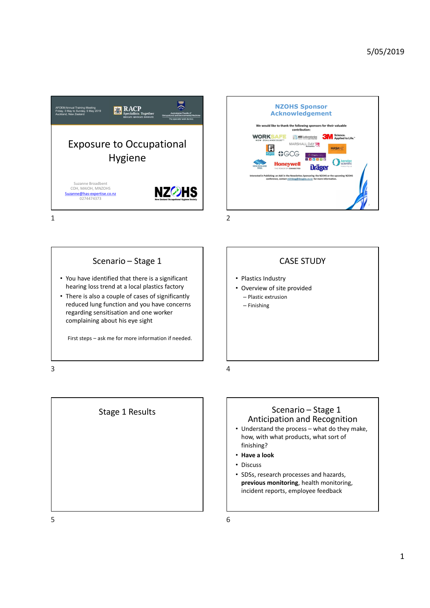



• You have identified that there is a significant hearing loss trend at a local plastics factory • There is also a couple of cases of significantly reduced lung function and you have concerns regarding sensitisation and one worker complaining about his eye sight First steps – ask me for more information if needed.<br>
First steps – ask me for more information if needed.<br>
First steps – ask me for more information if needed.<br>
First steps – ask me for more information if needed.<br>
First Sternario - Stage 1<br>
Sternario - Stage 1<br>
Sternario - Stage 1<br>
National Resolution<br>
National Resolution<br>
National Resolution and you have concerns<br>
There is also a couple of cases of significant<br>
There is also a couple of

CASE STUDY

- Plastics Industry
- Overview of site provided – Plastic extrusion
	- Finishing

# Stage 1 Results **Anticipation 2 Scenario** – Stage 1 Stage 1 2 Anticipation and Recognition

- CASE STUDY<br>
 Plastics Industry<br>
 Overview of site provided<br>
 Plastic extrusion<br>
 Finishing<br>
 Finishing<br>
 Scenario Stage 1<br>
Anticipation and Recognition<br>
 Understand the process what do they make,<br>
how, with what how, with what products, what sort of finishing? CASE STUDY<br>
ustry<br>
of site provided<br>
fiste provided<br>
Scenario – Stage 1<br>
Scenario – Stage 1<br>
Dation and Recognition<br>
the process – what do they make,<br>
what products, what sort of<br>
k Stage 1 Results<br>
Stage 1 Results<br>
Stage 1 Results<br>
Anticipation and Recognition<br>
And Anticipation and Recognition<br>
And Anticipation and Recognition<br>
Now with y what products, what sort of<br>
This will a product space is and
	- Have a look
	- Discuss
	- SDSs, research processes and hazards, previous monitoring, health monitoring, incident reports, employee feedback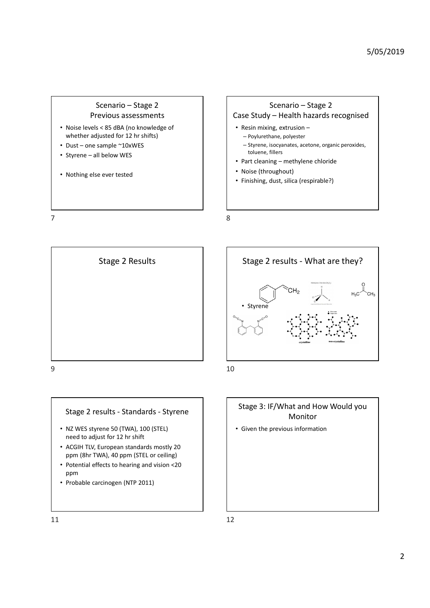- whether adjusted for 12 hr shifts)
- 
- 
- Nothing else ever tested

Scenario – Stage 2<br>
Scenario – Stage 2<br>
Scenario – Stage 2<br>
Scenario – Stage 2<br>
Scenario – Stage 2<br>
Scenario – Stage 2<br>
Scenario – Stage 2<br>
Scenario – Health hazards recognised<br>
Stage 10 - Resin mixing, extrusion –<br>
Stage Previous assessments and all case Study – Health hazards recognised Scenario − Stage 2<br>
Previous assessments<br>
• Noise levels < 85 dBA (no knowledge of<br>
• Dust – one sample ~10xWES<br>
• Styrene – all below WES<br>
• Nothing else ever tested<br>
• Noise (here, isomeonic provider in the state)<br>
• No • Noise levels < Scenario – Stage 2<br>
• Noise levels < Stage Study – Health hazar<br>
• Noise levels < Stage Study – Health hazar<br>
• Dust – one sample ~10xWES<br>
• Styrene – all below WES<br>
• Nothing else ever tested<br>
• Nothing • Scenario – Stage 2<br>
• Previous assessments<br>
• Noise levels < 85 dBA (no knowledge of<br>
• Dust – one sample ~10xVES<br>
• Styrene – all below WES<br>
• Styrene – all below WES<br>
• Nothing else ever tested<br>
• Nothing else ever t 5/05/2019<br>Scenario – Stage 2<br>
- Health hazards recognised<br>
mg, extrusion –<br>
nane, polyester<br>
isocyanates, acetone, organic peroxides,<br>
fillers 5/05/2019<br>
Scenario – Stage 2<br>
Case Study – Health hazards recognised<br>
• Resin mixing, extrusion –<br>
– Poylurethane, polyester<br>
– Styrene, isocyanates, acetone, organic peroxides,<br>
toluene, fillers<br>
• Part cleaning – methyl • Resin mixing, extrusion – – Poylurethane, polyester – Styrene, isocyanates, acetone, organic peroxides, toluene, fillers 5/05/2019<br>
Scenario – Stage 2<br>
Case Study – Health hazards recognised<br>
• Resin mixing, extrusion –<br>
– Poylurethane, polyester<br>
– Styrene, isocyanates, acetone, organic peroxides,<br>
toluene, fillers<br>
• Part cleaning – methyl • Noise (throughout) • Finishing, dust, silica (respirable?) Scenario – Stage 2<br>
voious assessments<br>
vestels die (no knowledge of<br>
vestels maniple "10xWES"<br>
angle "10xWES"<br>
angle "10xWES"<br>
angle "10xWES"<br>
- Follower Muse, fluit-prince, polyester<br>
- For the stage 2 results - What are Scenario - Stage 2<br>
Scenario - Stage 2<br>
Previous assessments<br>
Previous assessments<br>
Previous assessments<br>
Pust-one sample - 12 In shifts)<br>
Pust-one sample - 12 In shifts)<br>
Pust-one sample - 12 In shifts)<br>
Pust-one sample -







- NZ WES styrene 50 (TWA), 100 (STEL) need to adjust for 12 hr shift
- ACGIH TLV, European standards mostly 20 ppm (8hr TWA), 40 ppm (STEL or ceiling)
- Potential effects to hearing and vision <20 ppm and the contract of the contract of the contract of the contract of the contract of the contract of the contract of the contract of the contract of the contract of the contract of the contract of the contract of the co
- Probable carcinogen (NTP 2011)



## Stage 3: IF/What and How Would you Monitor

• Given the previous information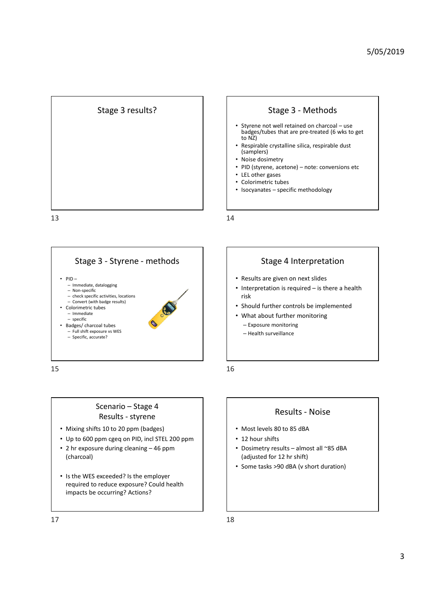



- 5/05/2019<br>• Stage 3 Methods<br>• Styrene not well retained on charcoal use<br>badges (tubes that are pre-treated (6 wks to get<br>• to N2)<br>• Respirable crystalline silica, respirable dust<br>• Noise dosimetry<br>• PID (styrene, aceto 5/05/2019<br>
Stage 3 - Methods<br>
Styrene not well retained on charcoal – use<br>
badges/tubes that are pre-treated (6 wks to get<br>
to N2)<br>
Respirable crystalline silica, respirable dust<br>
(samplers)<br>
Noise dosimetry<br>
PID (styrene, badges/tubes that are pre-treated (6 wks to get<br>to NZ) 5/05/2019<br>• Styrene, not well retained on charcoal – use<br>• badges/tubes that are pre-treated (6 wks to get<br>badges/tubes that are pre-treated (6 wks to get<br>• Respirable crystalline silica, respirable dust<br>• (Siamplers)<br>• No 5/05/2019<br>
• Styrene not well retained on charcoal – use<br>
badges/tubes that are pre-treated (6 wks to get<br>
badges/tubes that are pre-treated (6 wks to get<br>
• to N2)<br>
• Respirable crystalline silica, respirable dust<br>
• MD ( Stage 3 - Methods<br>
• Styrene not well retained on charcoal – use<br>
badges/tubes that are pre-treated (6 wks to get<br>
texpresible crystalline silica, respirable dust<br>
(samplers)<br>
• NDis dosimetry<br>
• PID (styrene, acetone) – n • Styrene not well retained on charcoal – use<br>
badges/tubes that are pre-treated (6 wks to get<br>
to NZ)<br>
• Respirable crystalline silica, respirable dust<br>
• Should dosimetry<br>
• Noise dosimetry<br>
• ELI other gases<br>
• Colorime
- Respirable crystalline silica, respirable dust (samplers)
- Noise dosimetry
- 
- LEL other gases
- Colorimetric tubes
- 



- Mixing shifts 10 to 20 ppm (badges)
- 
- (charcoal)
- Is the WES exceeded? Is the employer required to reduce exposure? Could health impacts be occurring? Actions?



- Results are given on next slides
- risk • Respirate the months of the section of the section of the section of the section of the content of the section of the surveillance catter of the surveillance of the surveillance of the surveillance of the surveillance of ge 4 Interpretation<br>given on next slides<br>on is required – is there a health<br>further monitoring<br>functions<br>increased in the monitoring<br>Results - Noise<br>80 to 85 dBA<br>ss<br>assults – almost all ~85 dBA<br>n 1 2 hr shift)<br>20 dBA (vich • Results are given on next slides<br>• Interpretation is required – is there a health<br>risk<br>• Should further controls be implemented<br>• What about further monitoring<br>— Exposure monitoring<br>— Health surveillance<br>— Health surveil • Interpretation is required – is there a health<br>
• Should further controls be implemented<br>
• What about further monitoring<br>
– Exposure monitoring<br>
– Health surveillance<br>
• Mest levels 80 to 85 dBA<br>
• 21 hour shifts<br>
• Dos
- 
- 
- 
- 

- Most levels 80 to 85 dBA
- 12 hour shifts
- (adjusted for 12 hr shift)
- 
-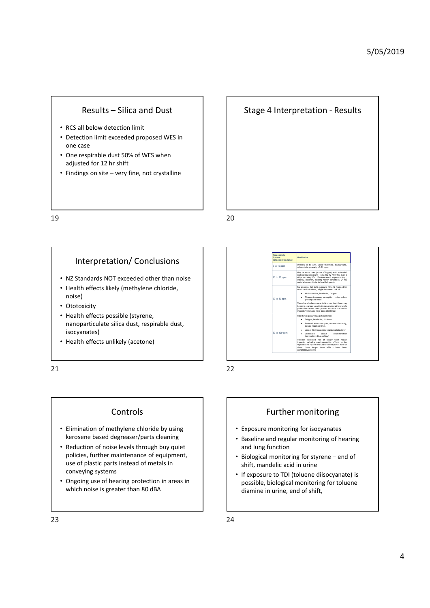- 
- Results Silica and Dust<br>
 RCS all below detection limit<br>
 Detection limit exceeded proposed WES in<br>
one case<br>
 One respirable dust 50% of WES when<br>
 adiusted for 12 hr shift one case Findings on site – Silica and Dust<br>
• Findings on site – Silica and Dust<br>
• Findings on site – very fine, not crystalline<br>
• One respirable dust 50% of WES when<br>
• Findings on site – very fine, not crystalline<br>
• Findings 5/05/2019<br>
Results – Silica and Dust<br>
• RCS all below detection limit<br>
• Detection limit<br>
• Detection limit<br>
• Detection limit<br>
• Detection limit<br>
• One respirable dust 50% of WES when<br>
• Findings on site – very fine, not
	- One respirable dust 50% of WES when adjusted for 12 hr shift
	-

### Interpretation/ Conclusions

- NZ Standards NOT exceeded other than noise
- Health effects likely (methylene chloride, noise)
- Ototoxicity
- Health effects possible (styrene, nanoparticulate silica dust, respirable dust, isocyanates)
- Health effects unlikely (acetone)

# Using the pair of the series of the specified of the specified of the specified of the specified of the specified of the specified of the specified of the specified of the specified of the specified of the specified of th impacts/symptoms have been identified)<br>
Full shift epouse the predicted for:<br>
Fastgue, headache, disciness<br>
Based resteriors paper.<br>
Based resteriors paper.<br>
Solved resteriors (material declarity,<br>
Luca of heigh frequency impacts, including carcinogenicity, effects to the reproductive system and unborn child (note: none of these three longer term effects have been completely proven). • RZ Standards NOT exceeded other than noise<br>
• Realth effects likely (methylene chloride,<br>
• Ototoxicity<br>
• Realth effects possible (styrene,<br>
• Realth effects include slica dust, respirable dust,<br>
• Reproduction of methy NZ Standards NOT exceeded other than noise<br>
Hoalth effects likely (methylene chloride,<br>
noise)<br>
The characteristics possible (styrene,<br>
isocyanates)<br>
Health effects unlikely (acetone)<br>
Survey in the characteristic and the • Ototoxicity<br>
• Health effects unlikely (acetone)<br>
• Health effects unlikely (acetone)<br>
• Fealth effects unlikely (acetone)<br>
• Controls<br>
• Controls<br>
• Controls<br>
• Controls<br>
• Controls<br>
• Republic to the protocol of materi Which historical sites in the state of plastic and the state of plastic and the state of the state of the state of the state of the state of the state of the state of the state of the state of the state of the state of the Further monitoring for isocal methods in the same<br>  $\frac{\frac{\text{mean of the 1} \times \text{mean of the 2} \times \text{mean of the 2} \times \text{mean of the 2} \times \text{mean of the 2} \times \text{mean of the 2} \times \text{mean of the 2} \times \text{mean of the 2} \times \text{mean of the 2} \times \text{mean of the 2} \times \text{mean of the 2} \times \text{mean of the 2} \times \text{mean of the 2} \times \text{mean of the 2} \times \text{mean of the 2} \times$ **Example and regular monitoring of hearing and regular monitoring of hearing and regular monitoring and regular monitoring and regular monitoring of hearing state in the property of the control of the control of the co** and lung function  $\frac{1}{2}$ <br>  $\frac{1}{2}$ <br>  $\frac{1}{2}$ <br>  $\frac{1}{2}$ <br>  $\frac{1}{2}$ <br>  $\frac{1}{2}$ <br>  $\frac{1}{2}$ <br>  $\frac{1}{2}$ <br>  $\frac{1}{2}$ <br>  $\frac{1}{2}$ <br>  $\frac{1}{2}$ <br>  $\frac{1}{2}$ <br>  $\frac{1}{2}$ <br>  $\frac{1}{2}$ <br>  $\frac{1}{2}$ <br>  $\frac{1}{2}$ <br>  $\frac{1}{2}$ <br>  $\frac{1}{2}$ <br>  $\frac{1}{2}$ <br>  $\frac{1}{2}$ <br> Shift of the context of the context of the context of the context of the context of the context of the context of the context of the context of the context of the context of the context of the context of the context of the • Exposure monitoring for isocyanates<br> **Exposure in the control of the control of the control of the control of the control of the control of the control of the control of the control of the control of the control of t** 21 22

Approximate<br>Styrene **Health risk**<br>concentration range

## **Controls**

- Elimination of methylene chloride by using
- use of plastic parts instead of metals in conveying systems Finantion of methylene chloride by using<br>
Elimination of methylene chloride by using<br>
Reduction of motor levels through buy quiet<br>
Reduction of noise levels through buy quiet<br>
Reduction of noise levels through buy quiet<br>
R
	-

- Exposure monitoring for isocyanates
- kerosene based degreaser/parts cleaning  $\begin{vmatrix} \cdot & \cdot & \cdot \\ \cdot & \cdot & \cdot \\ \cdot & \cdot & \cdot \\ \cdot & \cdot & \cdot \end{vmatrix}$  aseline and regular monitoring of hearing
	-
	- possible, biological monitoring for toluene diamine in urine, end of shift,